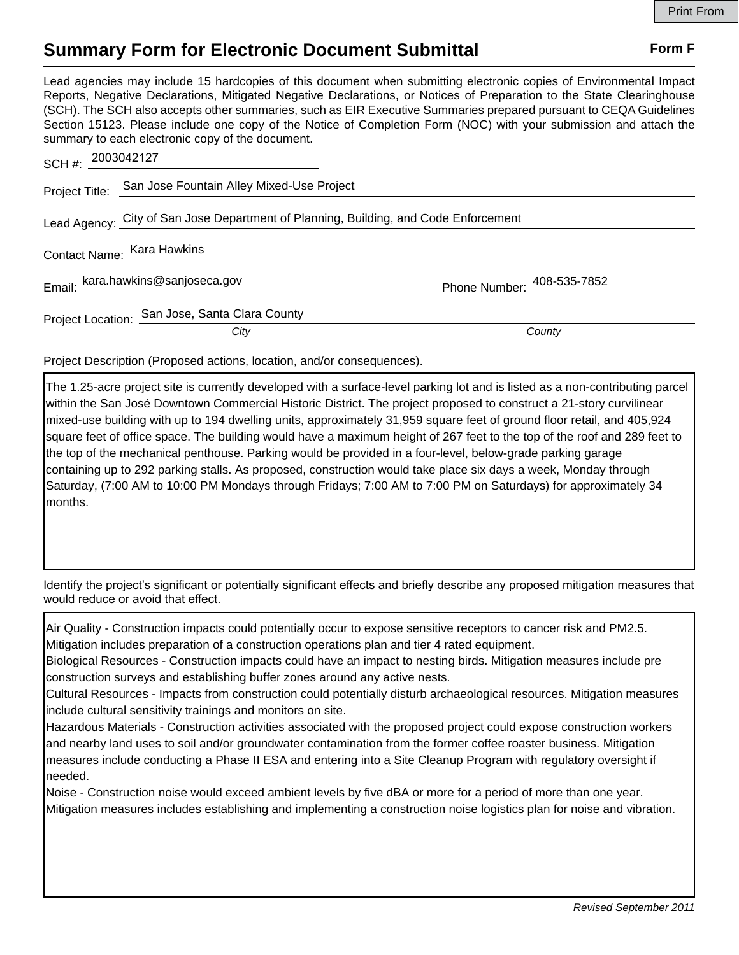## **Summary Form for Electronic Document Submittal Form F Form F**

Lead agencies may include 15 hardcopies of this document when submitting electronic copies of Environmental Impact Reports, Negative Declarations, Mitigated Negative Declarations, or Notices of Preparation to the State Clearinghouse (SCH). The SCH also accepts other summaries, such as EIR Executive Summaries prepared pursuant to CEQA Guidelines Section 15123. Please include one copy of the Notice of Completion Form (NOC) with your submission and attach the summary to each electronic copy of the document.

| SCH #: 2003042127                                                                    |                                                          |                            |
|--------------------------------------------------------------------------------------|----------------------------------------------------------|----------------------------|
|                                                                                      | Project Title: San Jose Fountain Alley Mixed-Use Project |                            |
| Lead Agency: City of San Jose Department of Planning, Building, and Code Enforcement |                                                          |                            |
|                                                                                      | Contact Name: Kara Hawkins                               |                            |
|                                                                                      | Email: kara.hawkins@sanjoseca.gov                        | Phone Number: 408-535-7852 |
|                                                                                      | Project Location: San Jose, Santa Clara County           |                            |
|                                                                                      | City                                                     | County                     |

Project Description (Proposed actions, location, and/or consequences).

The 1.25-acre project site is currently developed with a surface-level parking lot and is listed as a non-contributing parcel within the San José Downtown Commercial Historic District. The project proposed to construct a 21-story curvilinear mixed-use building with up to 194 dwelling units, approximately 31,959 square feet of ground floor retail, and 405,924 square feet of office space. The building would have a maximum height of 267 feet to the top of the roof and 289 feet to the top of the mechanical penthouse. Parking would be provided in a four-level, below-grade parking garage containing up to 292 parking stalls. As proposed, construction would take place six days a week, Monday through Saturday, (7:00 AM to 10:00 PM Mondays through Fridays; 7:00 AM to 7:00 PM on Saturdays) for approximately 34 months.

Identify the project's significant or potentially significant effects and briefly describe any proposed mitigation measures that would reduce or avoid that effect.

Air Quality - Construction impacts could potentially occur to expose sensitive receptors to cancer risk and PM2.5. Mitigation includes preparation of a construction operations plan and tier 4 rated equipment.

Biological Resources - Construction impacts could have an impact to nesting birds. Mitigation measures include pre construction surveys and establishing buffer zones around any active nests.

Cultural Resources - Impacts from construction could potentially disturb archaeological resources. Mitigation measures include cultural sensitivity trainings and monitors on site.

Hazardous Materials - Construction activities associated with the proposed project could expose construction workers and nearby land uses to soil and/or groundwater contamination from the former coffee roaster business. Mitigation measures include conducting a Phase II ESA and entering into a Site Cleanup Program with regulatory oversight if needed.

Noise - Construction noise would exceed ambient levels by five dBA or more for a period of more than one year. Mitigation measures includes establishing and implementing a construction noise logistics plan for noise and vibration.